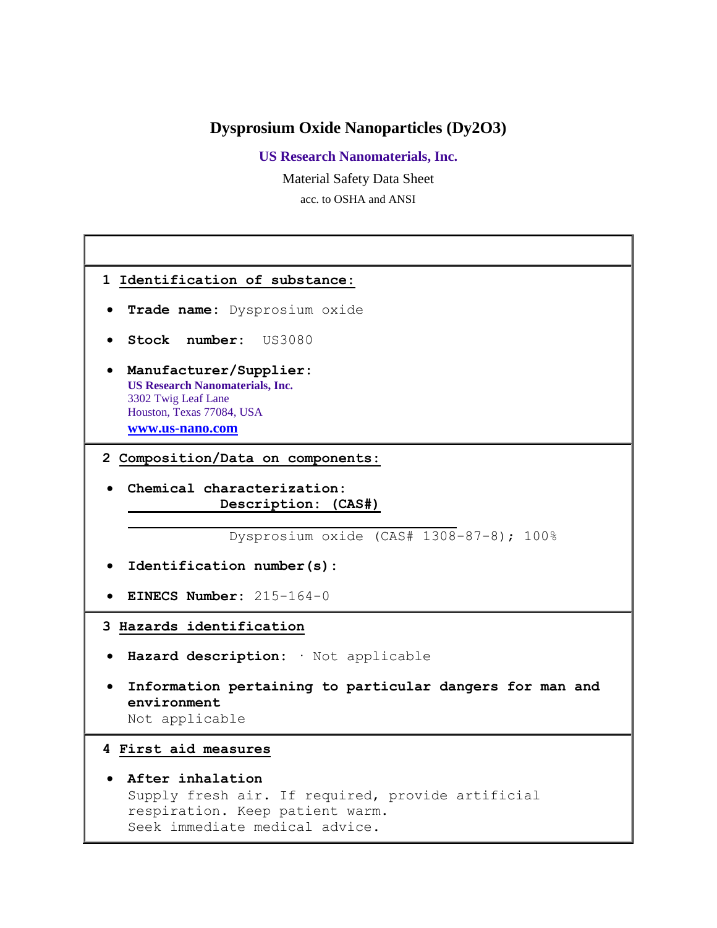# **Dysprosium Oxide Nanoparticles (Dy2O3)**

**US Research Nanomaterials, Inc.**

Material Safety Data Sheet

acc. to OSHA and ANSI

| 1 Identification of substance:                                                                                                             |
|--------------------------------------------------------------------------------------------------------------------------------------------|
| Trade name: Dysprosium oxide                                                                                                               |
| Stock number: US3080                                                                                                                       |
| Manufacturer/Supplier:<br><b>US Research Nanomaterials, Inc.</b><br>3302 Twig Leaf Lane<br>Houston, Texas 77084, USA<br>www.us-nano.com    |
| 2 Composition/Data on components:                                                                                                          |
| Chemical characterization:<br>Description: (CAS#)                                                                                          |
| Dysprosium oxide (CAS# 1308-87-8); 100%                                                                                                    |
| Identification number(s):                                                                                                                  |
| EINECS Number: $215-164-0$                                                                                                                 |
| 3 Hazards identification                                                                                                                   |
| Hazard description: Wot applicable                                                                                                         |
| Information pertaining to particular dangers for man and<br>environment<br>Not applicable                                                  |
| 4 First aid measures                                                                                                                       |
| After inhalation<br>Supply fresh air. If required, provide artificial<br>respiration. Keep patient warm.<br>Seek immediate medical advice. |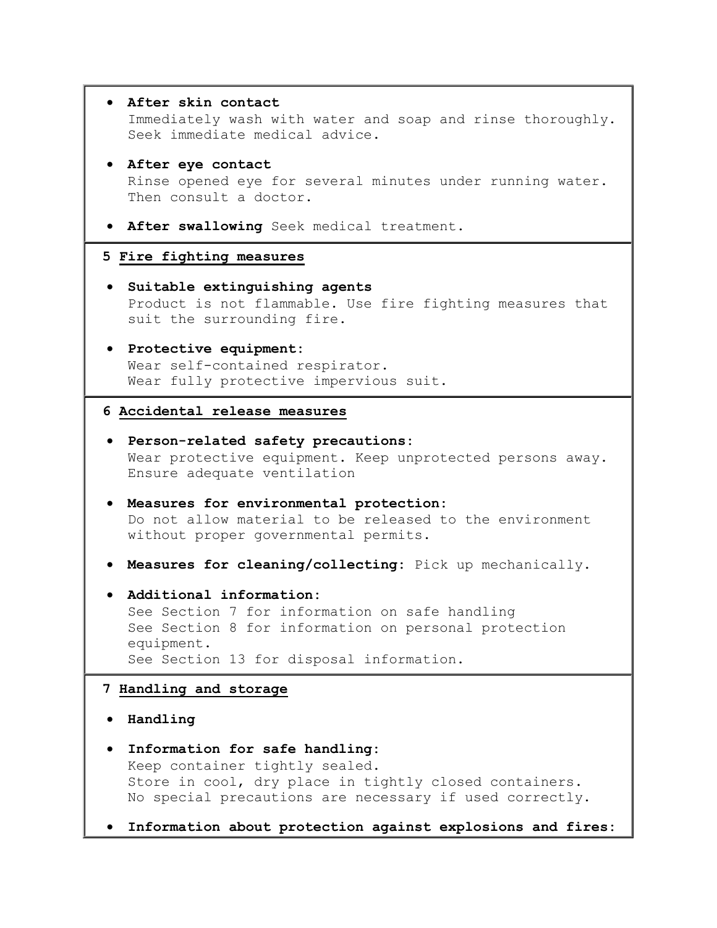```
 After skin contact
   Immediately wash with water and soap and rinse thoroughly. 
   Seek immediate medical advice. 
 After eye contact
  Rinse opened eye for several minutes under running water. 
  Then consult a doctor. 
 After swallowing Seek medical treatment. 
5 Fire fighting measures
 Suitable extinguishing agents
  Product is not flammable. Use fire fighting measures that 
  suit the surrounding fire. 
 Protective equipment:
  Wear self-contained respirator. 
  Wear fully protective impervious suit. 
6 Accidental release measures
 Person-related safety precautions:
  Wear protective equipment. Keep unprotected persons away. 
  Ensure adequate ventilation 
 Measures for environmental protection:
  Do not allow material to be released to the environment 
  without proper governmental permits. 
 Measures for cleaning/collecting: Pick up mechanically. 
 Additional information:
  See Section 7 for information on safe handling 
  See Section 8 for information on personal protection 
  equipment. 
   See Section 13 for disposal information. 
7 Handling and storage
 Handling
 Information for safe handling:
  Keep container tightly sealed. 
   Store in cool, dry place in tightly closed containers. 
  No special precautions are necessary if used correctly. 
 Information about protection against explosions and fires:
```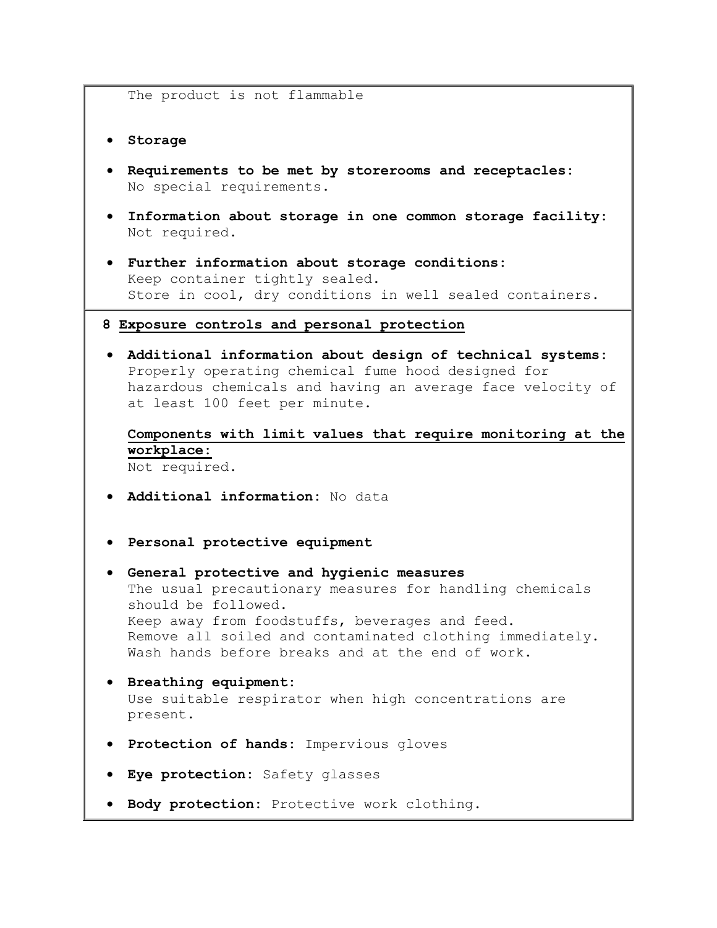The product is not flammable

**Storage**

- **Requirements to be met by storerooms and receptacles:** No special requirements.
- **Information about storage in one common storage facility:** Not required.
- **Further information about storage conditions:** Keep container tightly sealed. Store in cool, dry conditions in well sealed containers.

#### **8 Exposure controls and personal protection**

 **Additional information about design of technical systems:** Properly operating chemical fume hood designed for hazardous chemicals and having an average face velocity of at least 100 feet per minute.

**Components with limit values that require monitoring at the workplace:**  Not required.

- **Additional information:** No data
- **Personal protective equipment**
- **General protective and hygienic measures** The usual precautionary measures for handling chemicals should be followed. Keep away from foodstuffs, beverages and feed. Remove all soiled and contaminated clothing immediately. Wash hands before breaks and at the end of work.
- **Breathing equipment:** Use suitable respirator when high concentrations are present.
- **Protection of hands:** Impervious gloves
- **Eye protection:** Safety glasses
- **Body protection:** Protective work clothing.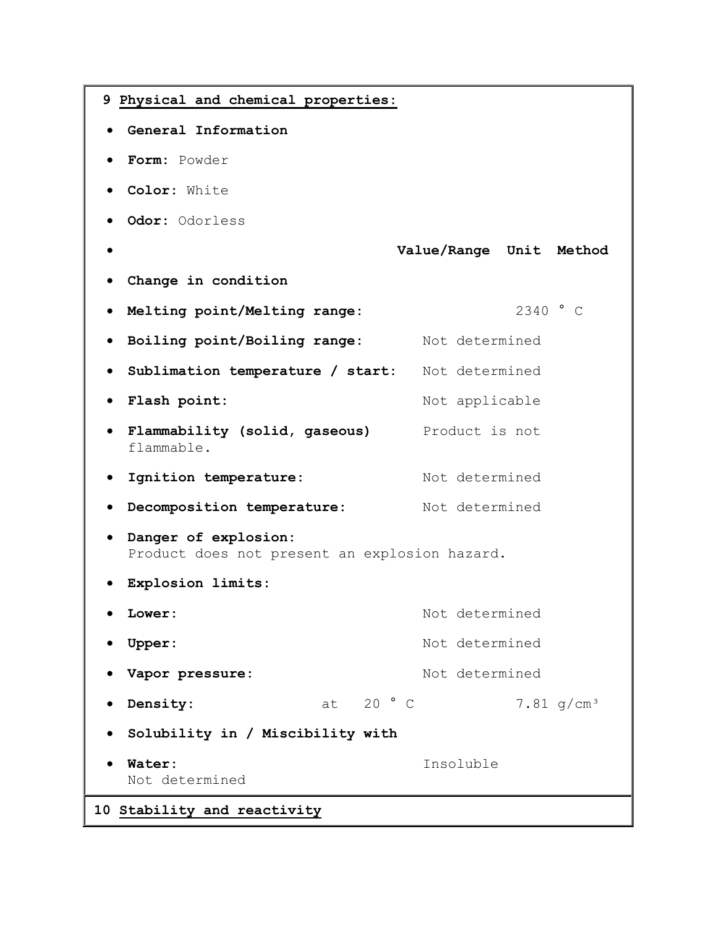```
9 Physical and chemical properties:
  General Information
  Form: Powder 
  Color: White 
  Odor: Odorless 
                             Value/Range Unit Method
  Change in condition
  Melting point/Melting range: 2340 ° C 
 • Boiling point/Boiling range: Not determined
  Sublimation temperature / start: Not determined 
 • Flash point: Not applicable
 • Flammability (solid, gaseous) Product is not
   flammable. 
 • Ignition temperature: Not determined
 • Decomposition temperature: Not determined
  Danger of explosion:
   Product does not present an explosion hazard. 
  Explosion limits:
 COMET: Not determined
 • Upper: Not determined
 • Vapor pressure: Not determined
 • Density: at 20 ° C 7.81 g/cm<sup>3</sup>
  Solubility in / Miscibility with
  Water: Insoluble 
   Not determined 
10 Stability and reactivity
```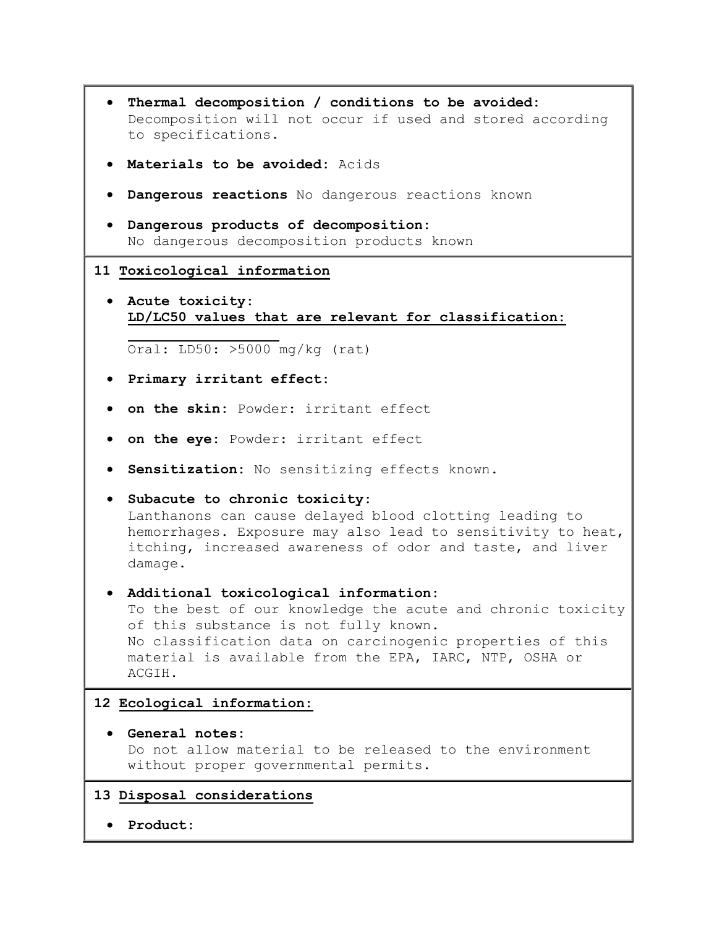- **Thermal decomposition / conditions to be avoided:** Decomposition will not occur if used and stored according to specifications.
- **Materials to be avoided:** Acids
- **Dangerous reactions** No dangerous reactions known
- **Dangerous products of decomposition:** No dangerous decomposition products known

#### **11 Toxicological information**

 **Acute toxicity: LD/LC50 values that are relevant for classification:** 

Oral: LD50: >5000 mg/kg (rat)

- **Primary irritant effect:**
- **on the skin:** Powder: irritant effect
- **on the eye:** Powder: irritant effect
- **Sensitization:** No sensitizing effects known.
- **Subacute to chronic toxicity:** Lanthanons can cause delayed blood clotting leading to hemorrhages. Exposure may also lead to sensitivity to heat, itching, increased awareness of odor and taste, and liver damage.

## **Additional toxicological information:**

To the best of our knowledge the acute and chronic toxicity of this substance is not fully known. No classification data on carcinogenic properties of this material is available from the EPA, IARC, NTP, OSHA or ACGIH.

### **12 Ecological information:**

- **General notes:** Do not allow material to be released to the environment without proper governmental permits.
- **13 Disposal considerations**
	- **Product:**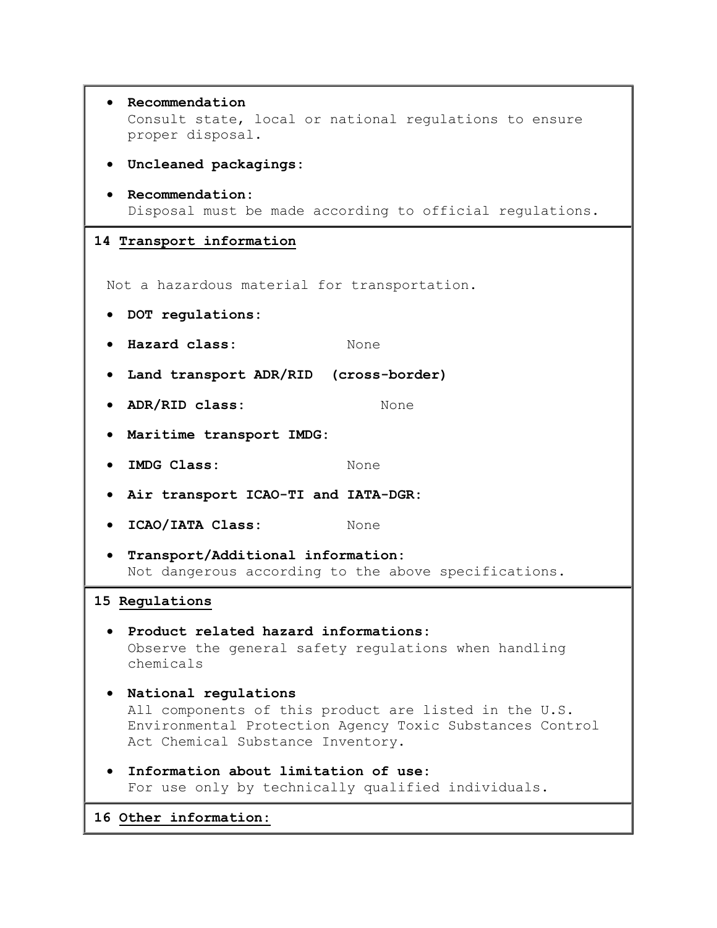| Recommendation<br>Consult state, local or national regulations to ensure<br>proper disposal.                                                                                   |
|--------------------------------------------------------------------------------------------------------------------------------------------------------------------------------|
| Uncleaned packagings:<br>$\bullet$                                                                                                                                             |
| Recommendation:<br>Disposal must be made according to official regulations.                                                                                                    |
| 14 Transport information                                                                                                                                                       |
| Not a hazardous material for transportation.                                                                                                                                   |
| DOT regulations:                                                                                                                                                               |
| Hazard class:<br>None                                                                                                                                                          |
| Land transport ADR/RID (cross-border)<br>$\bullet$                                                                                                                             |
| ADR/RID class:<br>None                                                                                                                                                         |
| Maritime transport IMDG:                                                                                                                                                       |
| IMDG Class:<br>None                                                                                                                                                            |
| Air transport ICAO-TI and IATA-DGR:                                                                                                                                            |
| ICAO/IATA Class:<br>None                                                                                                                                                       |
| Transport/Additional information:<br>Not dangerous according to the above specifications.                                                                                      |
| 15 Regulations                                                                                                                                                                 |
| Product related hazard informations:<br>Observe the general safety regulations when handling<br>chemicals                                                                      |
| National regulations<br>All components of this product are listed in the U.S.<br>Environmental Protection Agency Toxic Substances Control<br>Act Chemical Substance Inventory. |
| Information about limitation of use:<br>For use only by technically qualified individuals.                                                                                     |
| 16 Other information:                                                                                                                                                          |